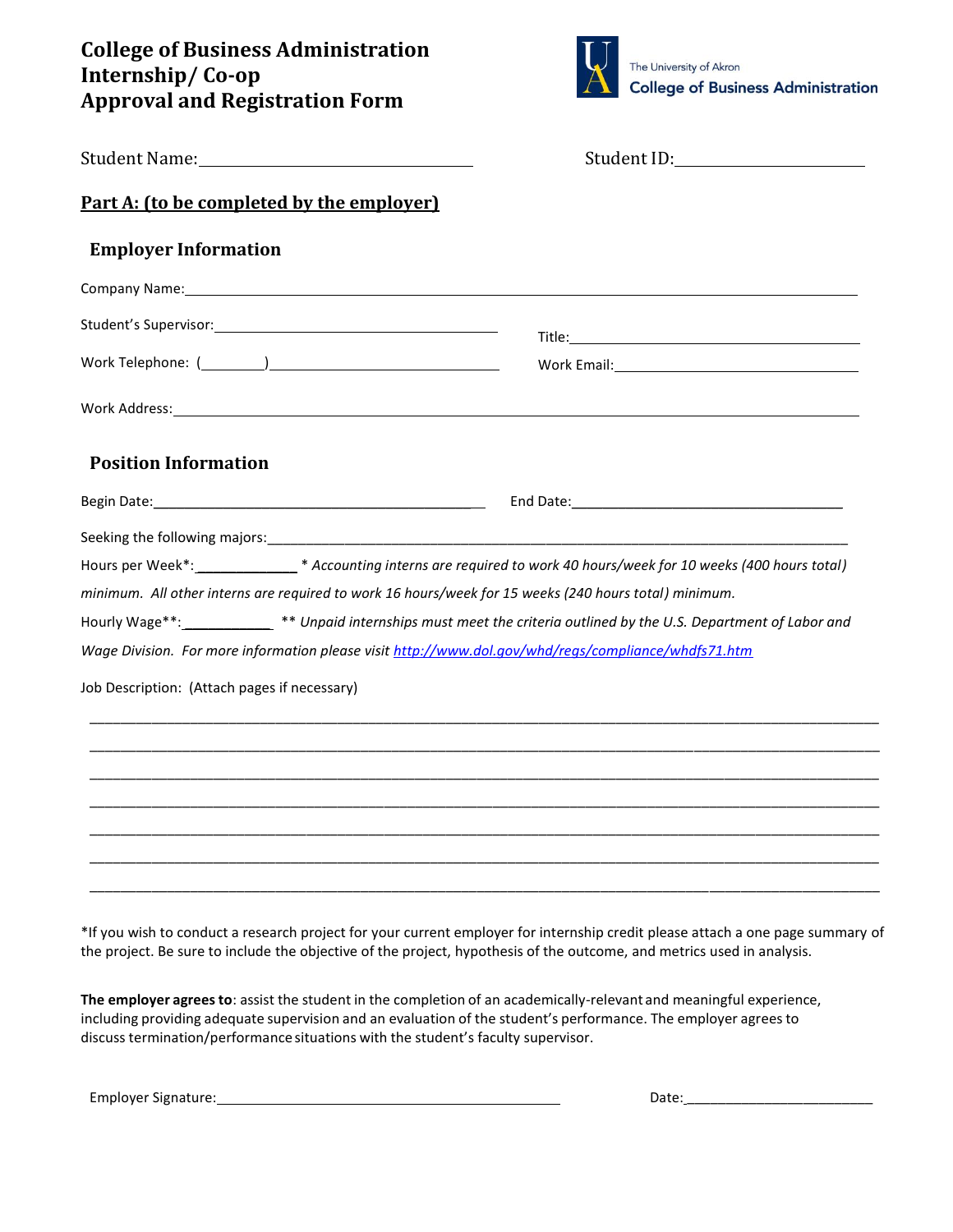## **College of Business Administration Internship/ Co-op Approval and Registration Form**



|                                                                                                                                                       | Student ID: 2000                                                                                                                                                                                                                                                                                                                                          |
|-------------------------------------------------------------------------------------------------------------------------------------------------------|-----------------------------------------------------------------------------------------------------------------------------------------------------------------------------------------------------------------------------------------------------------------------------------------------------------------------------------------------------------|
| Part A: (to be completed by the employer)                                                                                                             |                                                                                                                                                                                                                                                                                                                                                           |
| <b>Employer Information</b>                                                                                                                           |                                                                                                                                                                                                                                                                                                                                                           |
| Company Name: 1999 Company Name: 1999 Company Name: 1999 Company Name: 1999 Company Name: 1999 Company Name: 1                                        |                                                                                                                                                                                                                                                                                                                                                           |
|                                                                                                                                                       |                                                                                                                                                                                                                                                                                                                                                           |
|                                                                                                                                                       |                                                                                                                                                                                                                                                                                                                                                           |
|                                                                                                                                                       |                                                                                                                                                                                                                                                                                                                                                           |
| <b>Position Information</b>                                                                                                                           |                                                                                                                                                                                                                                                                                                                                                           |
|                                                                                                                                                       |                                                                                                                                                                                                                                                                                                                                                           |
| minimum. All other interns are required to work 16 hours/week for 15 weeks (240 hours total) minimum.<br>Job Description: (Attach pages if necessary) | Hours per Week*:___________________* Accounting interns are required to work 40 hours/week for 10 weeks (400 hours total)<br>Hourly Wage**:______________** Unpaid internships must meet the criteria outlined by the U.S. Department of Labor and<br>Wage Division. For more information please visit http://www.dol.gov/whd/regs/compliance/whdfs71.htm |
|                                                                                                                                                       |                                                                                                                                                                                                                                                                                                                                                           |
|                                                                                                                                                       |                                                                                                                                                                                                                                                                                                                                                           |
|                                                                                                                                                       |                                                                                                                                                                                                                                                                                                                                                           |
|                                                                                                                                                       |                                                                                                                                                                                                                                                                                                                                                           |

\*If you wish to conduct a research project for your current employer for internship credit please attach a one page summary of the project. Be sure to include the objective of the project, hypothesis of the outcome, and metrics used in analysis.

**The employer agrees to**: assist the student in the completion of an academically-relevant and meaningful experience, including providing adequate supervision and an evaluation of the student's performance. The employer agreesto discuss termination/performance situations with the student's faculty supervisor.